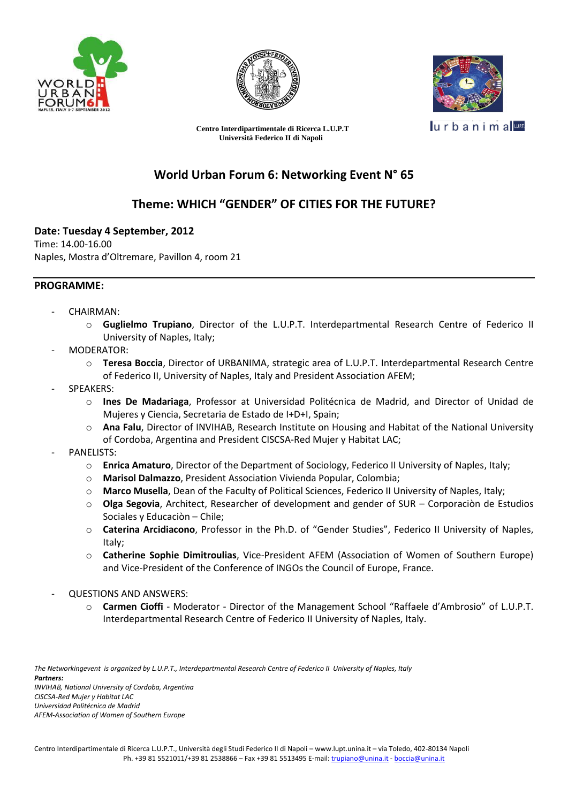



 **Centro Interdipartimentale di Ricerca L.U.P.T Università Federico II di Napoli**



urbanima

# **World Urban Forum 6: Networking Event N° 65**

### **Theme: WHICH "GENDER" OF CITIES FOR THE FUTURE?**

#### **Date: Tuesday 4 September, 2012**

Time: 14.00-16.00 Naples, Mostra d'Oltremare, Pavillon 4, room 21

#### **PROGRAMME:**

- CHAIRMAN:
	- o **Guglielmo Trupiano**, Director of the L.U.P.T. Interdepartmental Research Centre of Federico II University of Naples, Italy;
- MODERATOR:
	- o **Teresa Boccia**, Director of URBANIMA, strategic area of L.U.P.T. Interdepartmental Research Centre of Federico II, University of Naples, Italy and President Association AFEM;
- SPEAKERS:
	- o **Ines De Madariaga**, Professor at Universidad Politécnica de Madrid, and Director of Unidad de Mujeres y Ciencia, Secretaria de Estado de I+D+I, Spain;
	- Ana Falu, Director of INVIHAB, Research Institute on Housing and Habitat of the National University of Cordoba, Argentina and President CISCSA-Red Mujer y Habitat LAC;
- PANELISTS:
	- o **Enrica Amaturo**, Director of the Department of Sociology, Federico II University of Naples, Italy;
	- o **Marisol Dalmazzo**, President Association Vivienda Popular, Colombia;
	- o **Marco Musella**, Dean of the Faculty of Political Sciences, Federico II University of Naples, Italy;
	- o **Olga Segovia**, Architect, Researcher of development and gender of SUR Corporaciòn de Estudios Sociales y Educaciòn – Chile;
	- o **Caterina Arcidiacono**, Professor in the Ph.D. of "Gender Studies", Federico II University of Naples, Italy;
	- o **Catherine Sophie Dimitroulias**, Vice-President AFEM (Association of Women of Southern Europe) and Vice-President of the Conference of INGOs the Council of Europe, France.
- QUESTIONS AND ANSWERS:
	- o **Carmen Cioffi** Moderator Director of the Management School "Raffaele d'Ambrosio" of L.U.P.T. Interdepartmental Research Centre of Federico II University of Naples, Italy.

*The Networkingevent is organized by L.U.P.T., Interdepartmental Research Centre of Federico II University of Naples, Italy Partners: INVIHAB, National University of Cordoba, Argentina CISCSA-Red Mujer y Habitat LAC Universidad Politécnica de Madrid AFEM-Association of Women of Southern Europe*